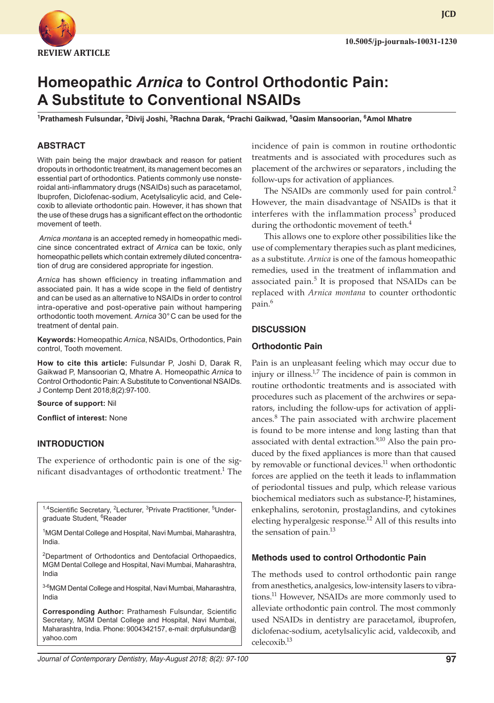

# **Homeopathic** *Arnica* **to Control Orthodontic Pain: A Substitute to Conventional NSAIDs**

**1 Prathamesh Fulsundar, 2 Divij Joshi, 3 Rachna Darak, <sup>4</sup> Prachi Gaikwad, 5 Qasim Mansoorian, 6 Amol Mhatre**

# **ABSTRACT**

With pain being the major drawback and reason for patient dropouts in orthodontic treatment, its management becomes an essential part of orthodontics. Patients commonly use nonsteroidal anti-inflammatory drugs (NSAIDs) such as paracetamol, Ibuprofen, Diclofenac-sodium, Acetylsalicylic acid, and Celecoxib to alleviate orthodontic pain. However, it has shown that the use of these drugs has a significant effect on the orthodontic movement of teeth.

*Arnica montana* is an accepted remedy in homeopathic medicine since concentrated extract of *Arnica* can be toxic, only homeopathic pellets which contain extremely diluted concentration of drug are considered appropriate for ingestion.

*Arnica* has shown efficiency in treating inflammation and associated pain. It has a wide scope in the field of dentistry and can be used as an alternative to NSAIDs in order to control intra-operative and post-operative pain without hampering orthodontic tooth movement. *Arnica* 30°C can be used for the treatment of dental pain.

**Keywords:** Homeopathic *Arnica*, NSAIDs, Orthodontics, Pain control, Tooth movement.

**How to cite this article:** Fulsundar P, Joshi D, Darak R, Gaikwad P, Mansoorian Q, Mhatre A. Homeopathic *Arnica* to Control Orthodontic Pain: A Substitute to Conventional NSAIDs. J Contemp Dent 2018;8(2):97-100.

**Source of support:** Nil

**Conflict of interest:** None

#### **INTRODUCTION**

The experience of orthodontic pain is one of the significant disadvantages of orthodontic treatment.<sup>1</sup> The

<sup>1,4</sup>Scientific Secretary, <sup>2</sup>Lecturer, <sup>3</sup>Private Practitioner, <sup>5</sup>Undergraduate Student, <sup>6</sup>Reader

<sup>1</sup>MGM Dental College and Hospital, Navi Mumbai, Maharashtra, India.

<sup>2</sup>Department of Orthodontics and Dentofacial Orthopaedics, MGM Dental College and Hospital, Navi Mumbai, Maharashtra, India

3-6MGM Dental College and Hospital, Navi Mumbai, Maharashtra, India

**Corresponding Author:** Prathamesh Fulsundar, Scientific Secretary, MGM Dental College and Hospital, Navi Mumbai, Maharashtra, India. Phone: 9004342157, e-mail: [drpfulsundar@](mailto:drpfulsundar@yahoo.com) [yahoo.com](mailto:drpfulsundar@yahoo.com)

incidence of pain is common in routine orthodontic treatments and is associated with procedures such as placement of the archwires or separators , including the follow-ups for activation of appliances.

The NSAIDs are commonly used for pain control.<sup>2</sup> However, the main disadvantage of NSAIDs is that it interferes with the inflammation process<sup>3</sup> produced during the orthodontic movement of teeth.<sup>4</sup>

This allows one to explore other possibilities like the use of complementary therapies such as plant medicines, as a substitute. *Arnica* is one of the famous homeopathic remedies, used in the treatment of inflammation and associated pain.<sup>5</sup> It is proposed that NSAIDs can be replaced with *Arnica montana* to counter orthodontic pain.<sup>6</sup>

#### **DISCUSSION**

#### **Orthodontic Pain**

Pain is an unpleasant feeling which may occur due to injury or illness. $1/7$  The incidence of pain is common in routine orthodontic treatments and is associated with procedures such as placement of the archwires or separators, including the follow-ups for activation of appliances.<sup>8</sup> The pain associated with archwire placement is found to be more intense and long lasting than that associated with dental extraction.<sup>9,10</sup> Also the pain produced by the fixed appliances is more than that caused by removable or functional devices.<sup>11</sup> when orthodontic forces are applied on the teeth it leads to inflammation of periodontal tissues and pulp, which release various biochemical mediators such as substance-P, histamines, enkephalins, serotonin, prostaglandins, and cytokines electing hyperalgesic response.<sup>12</sup> All of this results into the sensation of pain.<sup>13</sup>

#### **Methods used to control Orthodontic Pain**

The methods used to control orthodontic pain range from anesthetics, analgesics, low-intensity lasers to vibrations.<sup>11</sup> However, NSAIDs are more commonly used to alleviate orthodontic pain control. The most commonly used NSAIDs in dentistry are paracetamol, ibuprofen, diclofenac-sodium, acetylsalicylic acid, valdecoxib, and celecoxib.13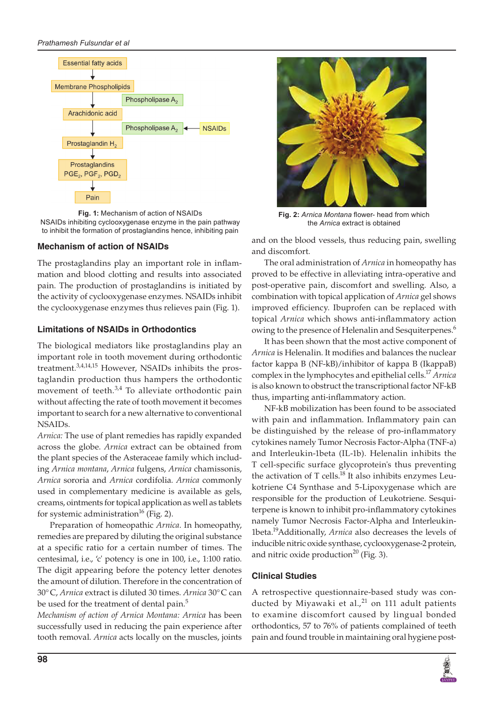#### *Prathamesh Fulsundar et al*



**Fig. 1:** Mechanism of action of NSAIDs NSAIDs inhibiting cyclooxygenase enzyme in the pain pathway to inhibit the formation of prostaglandins hence, inhibiting pain

## **Mechanism of action of NSAIDs**

The prostaglandins play an important role in inflammation and blood clotting and results into associated pain. The production of prostaglandins is initiated by the activity of cyclooxygenase enzymes. NSAIDs inhibit the cyclooxygenase enzymes thus relieves pain (Fig. 1).

## **Limitations of NSAIDs in Orthodontics**

The biological mediators like prostaglandins play an important role in tooth movement during orthodontic treatment.3,4,14,15 However, NSAIDs inhibits the prostaglandin production thus hampers the orthodontic movement of teeth. $3,4$  To alleviate orthodontic pain without affecting the rate of tooth movement it becomes important to search for a new alternative to conventional NSAIDs.

*Arnica:* The use of plant remedies has rapidly expanded across the globe. *Arnica* extract can be obtained from the plant species of the Asteraceae family which including *Arnica montana*, *Arnica* fulgens, *Arnica* chamissonis, *Arnica* sororia and *Arnica* cordifolia. *Arnica* commonly used in complementary medicine is available as gels, creams, ointments for topical application as well as tablets for systemic administration<sup>16</sup> (Fig. 2).

Preparation of homeopathic *Arnica*. In homeopathy, remedies are prepared by diluting the original substance at a specific ratio for a certain number of times. The centesimal, i.e., 'c' potency is one in 100, i.e., 1:100 ratio. The digit appearing before the potency letter denotes the amount of dilution. Therefore in the concentration of 30°C, *Arnica* extract is diluted 30 times. *Arnica* 30°C can be used for the treatment of dental pain.<sup>5</sup>

*Mechanism of action of Arnica Montana: Arnica* has been successfully used in reducing the pain experience after tooth removal. *Arnica* acts locally on the muscles, joints



**Fig. 2:** *Arnica Montana* flower- head from which the *Arnica* extract is obtained

and on the blood vessels, thus reducing pain, swelling and discomfort.

The oral administration of *Arnica* in homeopathy has proved to be effective in alleviating intra-operative and post-operative pain, discomfort and swelling. Also, a combination with topical application of *Arnica* gel shows improved efficiency. Ibuprofen can be replaced with topical *Arnica* which shows anti-inflammatory action owing to the presence of Helenalin and Sesquiterpenes.<sup>6</sup>

It has been shown that the most active component of *Arnica* is Helenalin. It modifies and balances the nuclear factor kappa B (NF-kB)/inhibitor of kappa B (IkappaB) complex in the lymphocytes and epithelial cells.17 *Arnica* is also known to obstruct the transcriptional factor NF-kB thus, imparting anti-inflammatory action.

NF-kB mobilization has been found to be associated with pain and inflammation. Inflammatory pain can be distinguished by the release of pro-inflammatory cytokines namely Tumor Necrosis Factor-Alpha (TNF-a) and Interleukin-1beta (IL-1b). Helenalin inhibits the T cell-specific surface glycoprotein's thus preventing the activation of T cells. $^{18}$  It also inhibits enzymes Leukotriene C4 Synthase and 5-Lipoxygenase which are responsible for the production of Leukotriene. Sesquiterpene is known to inhibit pro-inflammatory cytokines namely Tumor Necrosis Factor-Alpha and Interleukin-1beta.19Additionally, *Arnica* also decreases the levels of inducible nitric oxide synthase, cyclooxygenase-2 protein, and nitric oxide production<sup>20</sup> (Fig. 3).

## **Clinical Studies**

A retrospective questionnaire-based study was conducted by Miyawaki et al., $^{21}$  on 111 adult patients to examine discomfort caused by lingual bonded orthodontics, 57 to 76% of patients complained of teeth pain and found trouble in maintaining oral hygiene post-

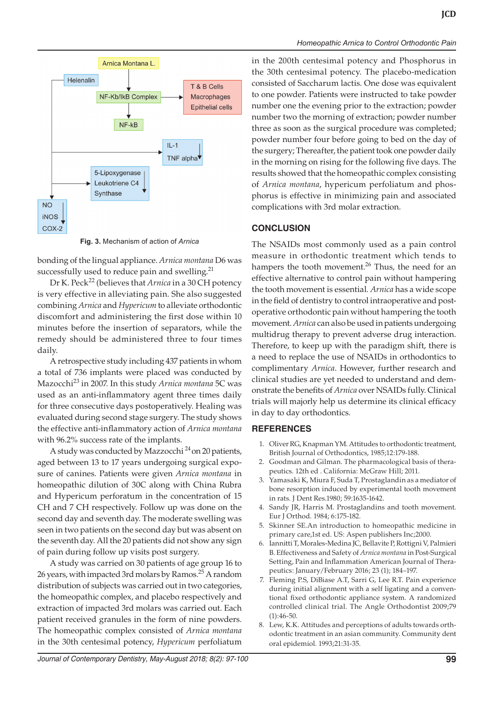

**Fig. 3.** Mechanism of action of *Arnica*

bonding of the lingual appliance. *Arnica montana* D6 was successfully used to reduce pain and swelling.<sup>21</sup>

Dr K. Peck<sup>22</sup> (believes that *Arnica* in a 30 CH potency is very effective in alleviating pain. She also suggested combining *Arnica* and *Hypericum* to alleviate orthodontic discomfort and administering the first dose within 10 minutes before the insertion of separators, while the remedy should be administered three to four times daily.

A retrospective study including 437 patients in whom a total of 736 implants were placed was conducted by Mazocchi23 in 2007. In this study *Arnica montana* 5C was used as an anti-inflammatory agent three times daily for three consecutive days postoperatively. Healing was evaluated during second stage surgery. The study shows the effective anti-inflammatory action of *Arnica montana* with 96.2% success rate of the implants.

A study was conducted by Mazzocchi<sup>24</sup> on 20 patients, aged between 13 to 17 years undergoing surgical exposure of canines. Patients were given *Arnica montana* in homeopathic dilution of 30C along with China Rubra and Hypericum perforatum in the concentration of 15 CH and 7 CH respectively. Follow up was done on the second day and seventh day. The moderate swelling was seen in two patients on the second day but was absent on the seventh day. All the 20 patients did not show any sign of pain during follow up visits post surgery.

A study was carried on 30 patients of age group 16 to 26 years, with impacted 3rd molars by Ramos.<sup>25</sup> A random distribution of subjects was carried out in two categories, the homeopathic complex, and placebo respectively and extraction of impacted 3rd molars was carried out. Each patient received granules in the form of nine powders. The homeopathic complex consisted of *Arnica montana* in the 30th centesimal potency, *Hypericum* perfoliatum

*Homeopathic Arnica to Control Orthodontic Pain*

in the 200th centesimal potency and Phosphorus in the 30th centesimal potency. The placebo-medication consisted of Saccharum lactis. One dose was equivalent to one powder. Patients were instructed to take powder number one the evening prior to the extraction; powder number two the morning of extraction; powder number three as soon as the surgical procedure was completed; powder number four before going to bed on the day of the surgery; Thereafter, the patient took one powder daily in the morning on rising for the following five days. The results showed that the homeopathic complex consisting of *Arnica montana*, hypericum perfoliatum and phosphorus is effective in minimizing pain and associated complications with 3rd molar extraction.

## **CONCLUSION**

The NSAIDs most commonly used as a pain control measure in orthodontic treatment which tends to hampers the tooth movement.<sup>26</sup> Thus, the need for an effective alternative to control pain without hampering the tooth movement is essential. *Arnica* has a wide scope in the field of dentistry to control intraoperative and postoperative orthodontic pain without hampering the tooth movement. *Arnica* can also be used in patients undergoing multidrug therapy to prevent adverse drug interaction. Therefore, to keep up with the paradigm shift, there is a need to replace the use of NSAIDs in orthodontics to complimentary *Arnica*. However, further research and clinical studies are yet needed to understand and demonstrate the benefits of *Arnica* over NSAIDs fully. Clinical trials will majorly help us determine its clinical efficacy in day to day orthodontics.

#### **REFERENCES**

- 1. Oliver RG, Knapman YM. Attitudes to orthodontic treatment, British Journal of Orthodontics, 1985;12:179-188.
- 2. Goodman and Gilman. The pharmacological basis of therapeutics. 12th ed . California: McGraw Hill; 2011.
- 3. Yamasaki K, Miura F, Suda T, Prostaglandin as a mediator of bone resorption induced by experimental tooth movement in rats. J Dent Res.1980; 59:1635-1642.
- 4. Sandy JR, Harris M. Prostaglandins and tooth movement. Eur J Orthod. 1984; 6:175-182.
- 5. Skinner SE.An introduction to homeopathic medicine in primary care,1st ed. US: Aspen publishers Inc;2000.
- 6. Iannitti T, Morales-Medina JC, Bellavite P, Rottigni V, Palmieri B. Effectiveness and Safety of *Arnica montana* in Post-Surgical Setting, Pain and Inflammation American Journal of Therapeutics: January/February 2016; 23 (1); 184–197.
- 7. Fleming P.S, DiBiase A.T, Sarri G, Lee R.T. Pain experience during initial alignment with a self ligating and a conventional fixed orthodontic appliance system. A randomized controlled clinical trial. The Angle Orthodontist 2009;79  $(1):46-50.$
- 8. Lew, K.K. Attitudes and perceptions of adults towards orthodontic treatment in an asian community. Community dent oral epidemiol. 1993;21:31-35.